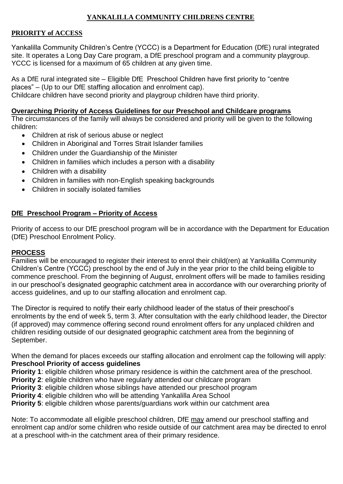# **YANKALILLA COMMUNITY CHILDRENS CENTRE**

### **PRIORITY of ACCESS**

Yankalilla Community Children's Centre (YCCC) is a Department for Education (DfE) rural integrated site. It operates a Long Day Care program, a DfE preschool program and a community playgroup. YCCC is licensed for a maximum of 65 children at any given time.

As a DfE rural integrated site – Eligible DfE Preschool Children have first priority to "centre places" – (Up to our DfE staffing allocation and enrolment cap). Childcare children have second priority and playgroup children have third priority.

### **Overarching Priority of Access Guidelines for our Preschool and Childcare programs**

The circumstances of the family will always be considered and priority will be given to the following children:

- Children at risk of serious abuse or neglect
- Children in Aboriginal and Torres Strait Islander families
- Children under the Guardianship of the Minister
- Children in families which includes a person with a disability
- Children with a disability
- Children in families with non-English speaking backgrounds
- Children in socially isolated families

## **DfE Preschool Program – Priority of Access**

Priority of access to our DfE preschool program will be in accordance with the Department for Education (DfE) Preschool Enrolment Policy.

## **PROCESS**

Families will be encouraged to register their interest to enrol their child(ren) at Yankalilla Community Children's Centre (YCCC) preschool by the end of July in the year prior to the child being eligible to commence preschool. From the beginning of August, enrolment offers will be made to families residing in our preschool's designated geographic catchment area in accordance with our overarching priority of access guidelines, and up to our staffing allocation and enrolment cap.

The Director is required to notify their early childhood leader of the status of their preschool's enrolments by the end of week 5, term 3. After consultation with the early childhood leader, the Director (if approved) may commence offering second round enrolment offers for any unplaced children and children residing outside of our designated geographic catchment area from the beginning of September.

When the demand for places exceeds our staffing allocation and enrolment cap the following will apply: **Preschool Priority of access guidelines**

**Priority 1**: eligible children whose primary residence is within the catchment area of the preschool.

- **Priority 2**: eligible children who have regularly attended our childcare program
- **Priority 3**: eligible children whose siblings have attended our preschool program

**Priority 4**: eligible children who will be attending Yankalilla Area School

**Priority 5**: eligible children whose parents/guardians work within our catchment area

Note: To accommodate all eligible preschool children, DfE may amend our preschool staffing and enrolment cap and/or some children who reside outside of our catchment area may be directed to enrol at a preschool with-in the catchment area of their primary residence.